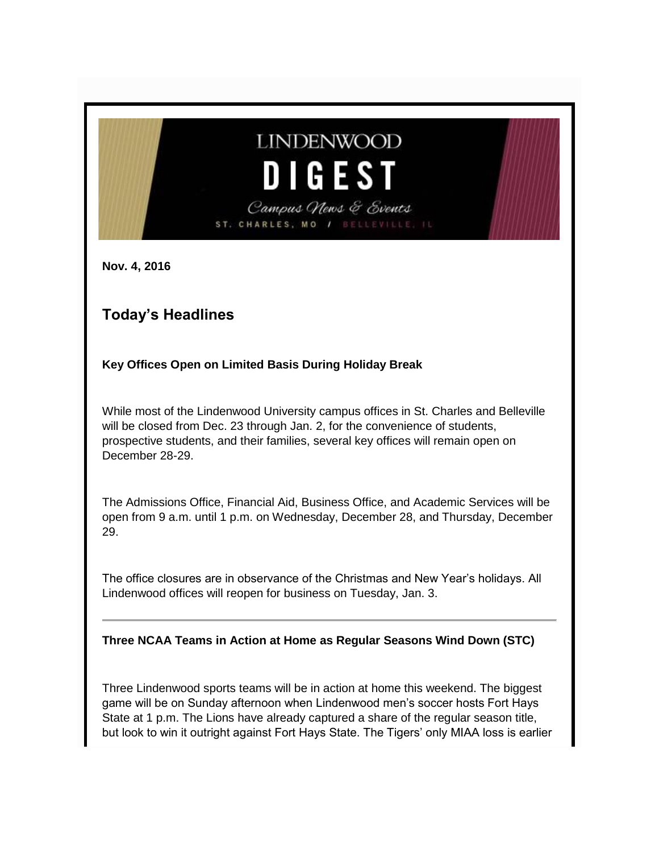# **LINDENWOOD** DIGEST Campus News & Events ST. CHARLES, MO /

**Nov. 4, 2016**

# **Today's Headlines**

**Key Offices Open on Limited Basis During Holiday Break**

While most of the Lindenwood University campus offices in St. Charles and Belleville will be closed from Dec. 23 through Jan. 2, for the convenience of students, prospective students, and their families, several key offices will remain open on December 28-29.

The Admissions Office, Financial Aid, Business Office, and Academic Services will be open from 9 a.m. until 1 p.m. on Wednesday, December 28, and Thursday, December 29.

The office closures are in observance of the Christmas and New Year's holidays. All Lindenwood offices will reopen for business on Tuesday, Jan. 3.

**Three NCAA Teams in Action at Home as Regular Seasons Wind Down (STC)**

Three Lindenwood sports teams will be in action at home this weekend. The biggest game will be on Sunday afternoon when Lindenwood men's soccer hosts Fort Hays State at 1 p.m. The Lions have already captured a share of the regular season title, but look to win it outright against Fort Hays State. The Tigers' only MIAA loss is earlier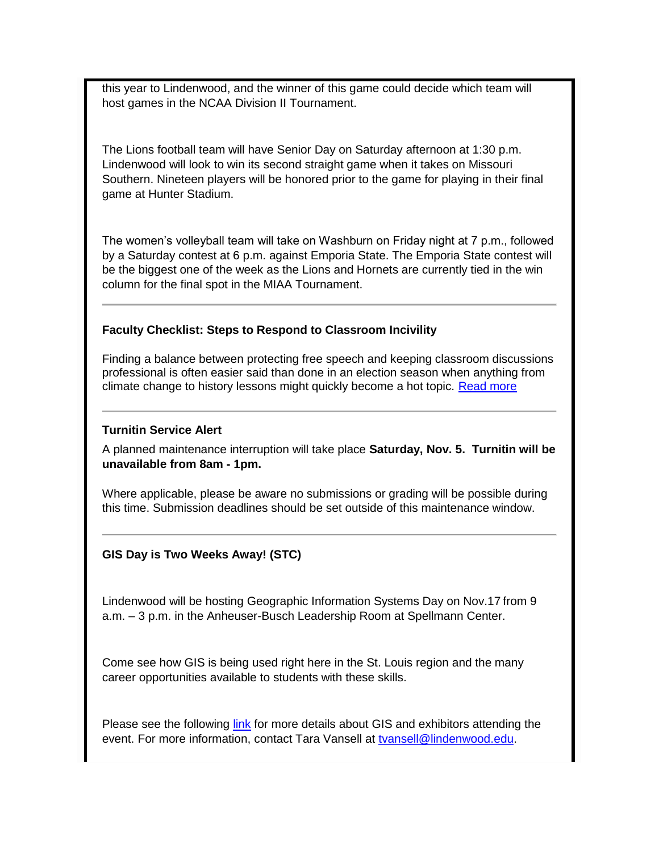this year to Lindenwood, and the winner of this game could decide which team will host games in the NCAA Division II Tournament.

The Lions football team will have Senior Day on Saturday afternoon at 1:30 p.m. Lindenwood will look to win its second straight game when it takes on Missouri Southern. Nineteen players will be honored prior to the game for playing in their final game at Hunter Stadium.

The women's volleyball team will take on Washburn on Friday night at 7 p.m., followed by a Saturday contest at 6 p.m. against Emporia State. The Emporia State contest will be the biggest one of the week as the Lions and Hornets are currently tied in the win column for the final spot in the MIAA Tournament.

#### **Faculty Checklist: Steps to Respond to Classroom Incivility**

Finding a balance between protecting free speech and keeping classroom discussions professional is often easier said than done in an election season when anything from climate change to history lessons might quickly become a hot topic. [Read more](http://www.academicimpressions.com/news/faculty-checklist-steps-to-respond-classroom-incivility)

#### **Turnitin Service Alert**

A planned maintenance interruption will take place **Saturday, Nov. 5. Turnitin will be unavailable from 8am - 1pm.**

Where applicable, please be aware no submissions or grading will be possible during this time. Submission deadlines should be set outside of this maintenance window.

#### **GIS Day is Two Weeks Away! (STC)**

Lindenwood will be hosting Geographic Information Systems Day on Nov.17 from 9 a.m. – 3 p.m. in the Anheuser-Busch Leadership Room at Spellmann Center.

Come see how GIS is being used right here in the St. Louis region and the many career opportunities available to students with these skills.

Please see the following [link](https://lindenwood.maps.arcgis.com/apps/MapSeries/index.html?appid=93ec7801cfac429a8d85a84f2fdafc89) for more details about GIS and exhibitors attending the event. For more information, contact Tara Vansell at [tvansell@lindenwood.edu.](mailto:tvansell@lindenwood.edu)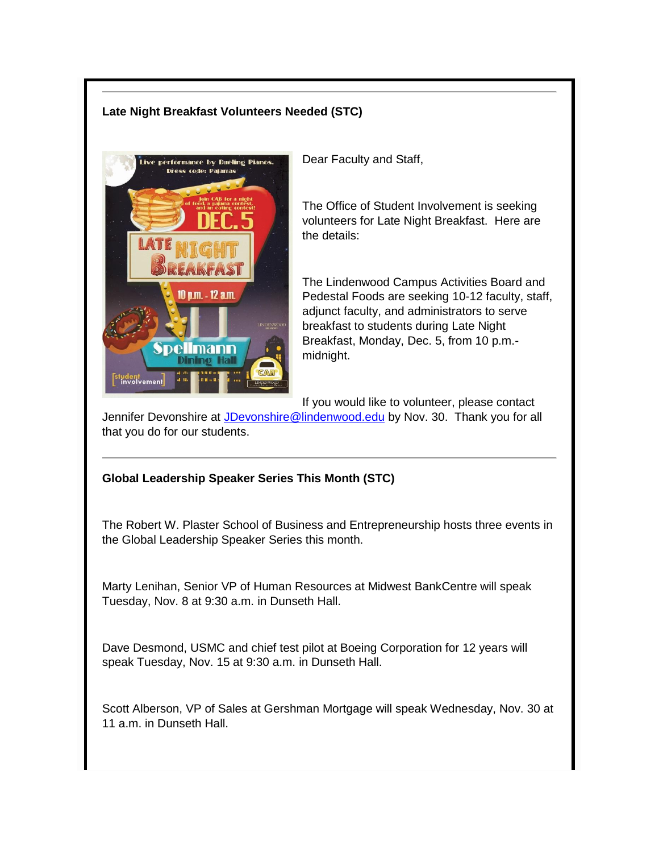#### **Late Night Breakfast Volunteers Needed (STC)**



Dear Faculty and Staff,

The Office of Student Involvement is seeking volunteers for Late Night Breakfast. Here are the details:

The Lindenwood Campus Activities Board and Pedestal Foods are seeking 10-12 faculty, staff, adjunct faculty, and administrators to serve breakfast to students during Late Night Breakfast, Monday, Dec. 5, from 10 p.m. midnight.

If you would like to volunteer, please contact

Jennifer Devonshire at [JDevonshire@lindenwood.edu](mailto:JDevonshire@lindenwood.edu) by Nov. 30. Thank you for all that you do for our students.

#### **Global Leadership Speaker Series This Month (STC)**

The Robert W. Plaster School of Business and Entrepreneurship hosts three events in the Global Leadership Speaker Series this month.

Marty Lenihan, Senior VP of Human Resources at Midwest BankCentre will speak Tuesday, Nov. 8 at 9:30 a.m. in Dunseth Hall.

Dave Desmond, USMC and chief test pilot at Boeing Corporation for 12 years will speak Tuesday, Nov. 15 at 9:30 a.m. in Dunseth Hall.

Scott Alberson, VP of Sales at Gershman Mortgage will speak Wednesday, Nov. 30 at 11 a.m. in Dunseth Hall.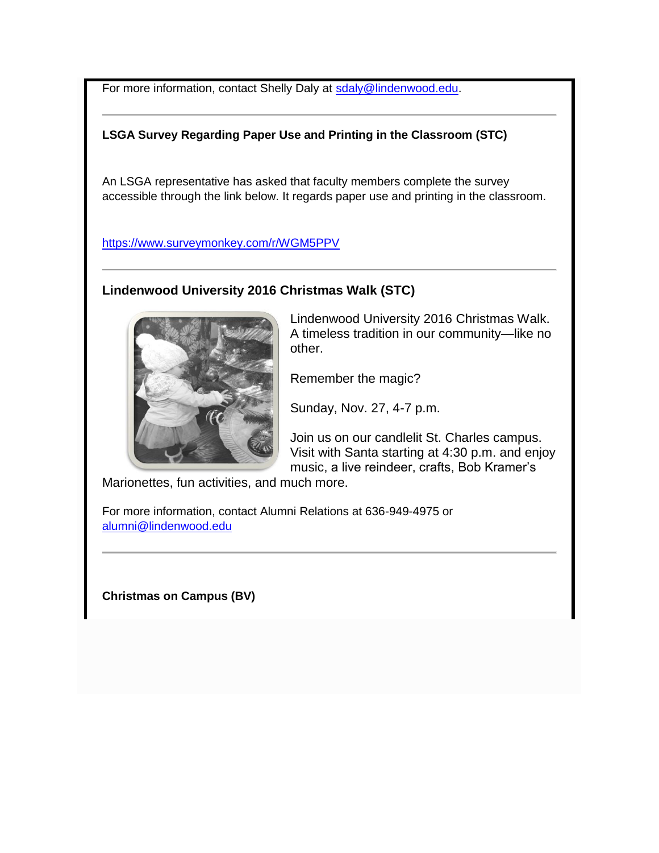For more information, contact Shelly Daly at [sdaly@lindenwood.edu.](mailto:sdaly@lindenwood.edu)

#### **LSGA Survey Regarding Paper Use and Printing in the Classroom (STC)**

An LSGA representative has asked that faculty members complete the survey accessible through the link below. It regards paper use and printing in the classroom.

<https://www.surveymonkey.com/r/WGM5PPV>

#### **Lindenwood University 2016 Christmas Walk (STC)**



Lindenwood University 2016 Christmas Walk. A timeless tradition in our community—like no other.

Remember the magic?

Sunday, Nov. 27, 4-7 p.m.

Join us on our candlelit St. Charles campus. Visit with Santa starting at 4:30 p.m. and enjoy music, a live reindeer, crafts, Bob Kramer's

Marionettes, fun activities, and much more.

For more information, contact Alumni Relations at 636-949-4975 or [alumni@lindenwood.edu](mailto:alumni@lindenwood.edu)

**Christmas on Campus (BV)**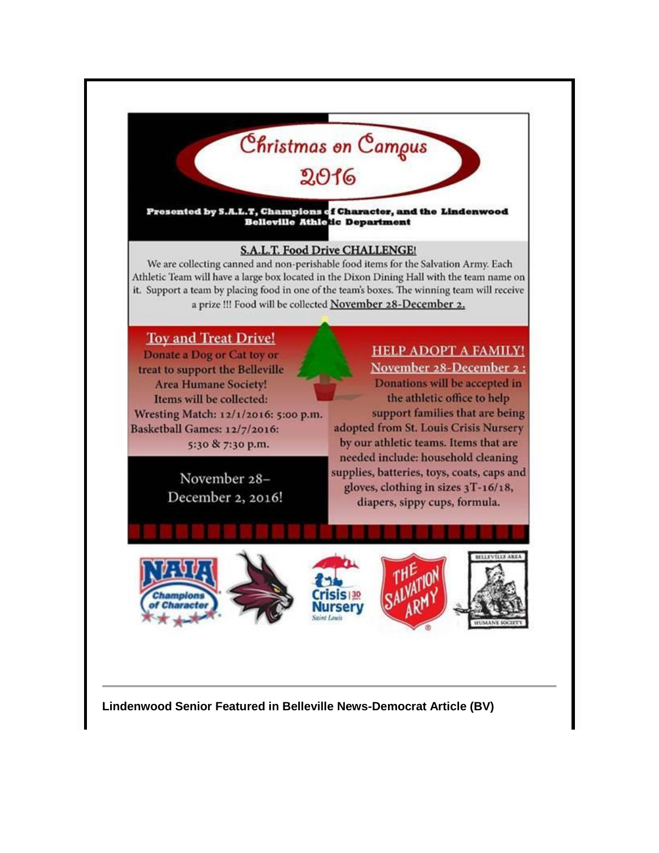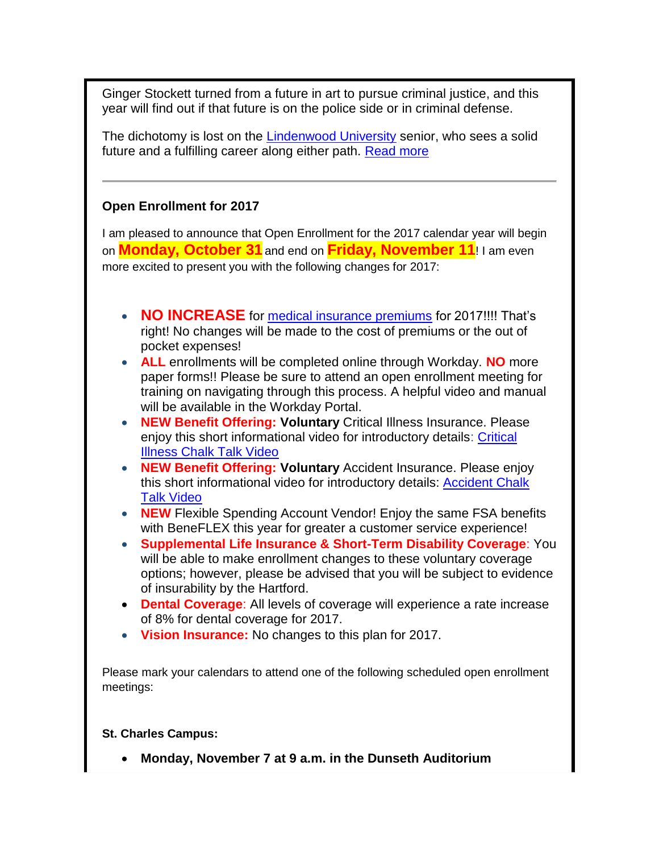Ginger Stockett turned from a future in art to pursue criminal justice, and this year will find out if that future is on the police side or in criminal defense.

The dichotomy is lost on the [Lindenwood University](http://www.lindenwood.edu/belleville/) senior, who sees a solid future and a fulfilling career along either path. [Read more](http://www.bnd.com/news/local/education/article111611637.html)

## **Open Enrollment for 2017**

I am pleased to announce that Open Enrollment for the 2017 calendar year will begin on **Monday, October 31** and end on **Friday, November 11**! I am even more excited to present you with the following changes for 2017:

- **NO INCREASE** for [medical insurance premiums](http://felix.lindenwood.edu/newsletter/2016_10/2017employeecontributions.pdf) for 2017!!!! That's right! No changes will be made to the cost of premiums or the out of pocket expenses!
- **ALL** enrollments will be completed online through Workday. **NO** more paper forms!! Please be sure to attend an open enrollment meeting for training on navigating through this process. A helpful video and manual will be available in the Workday Portal.
- **NEW Benefit Offering: Voluntary** Critical Illness Insurance. Please enjoy this short informational video for introductory details: [Critical](http://link.videoplatform.limelight.com/media/?mediaId=19f6e1cc86694ad3b31ea719036dca7e&width=480&height=321&playerForm=Player)  [Illness Chalk Talk Video](http://link.videoplatform.limelight.com/media/?mediaId=19f6e1cc86694ad3b31ea719036dca7e&width=480&height=321&playerForm=Player)
- **NEW Benefit Offering: Voluntary** Accident Insurance. Please enjoy this short informational video for introductory details: [Accident Chalk](http://link.videoplatform.limelight.com/media/?mediaId=def15ba41bb447c788f82157f8a3cec2&width=480&height=321&playerForm=Player)  [Talk Video](http://link.videoplatform.limelight.com/media/?mediaId=def15ba41bb447c788f82157f8a3cec2&width=480&height=321&playerForm=Player)
- **NEW** Flexible Spending Account Vendor! Enjoy the same FSA benefits with BeneFLEX this year for greater a customer service experience!
- **Supplemental Life Insurance & Short-Term Disability Coverage**: You will be able to make enrollment changes to these voluntary coverage options; however, please be advised that you will be subject to evidence of insurability by the Hartford.
- **Dental Coverage**: All levels of coverage will experience a rate increase of 8% for dental coverage for 2017.
- **Vision Insurance:** No changes to this plan for 2017.

Please mark your calendars to attend one of the following scheduled open enrollment meetings:

### **St. Charles Campus:**

**Monday, November 7 at 9 a.m. in the Dunseth Auditorium**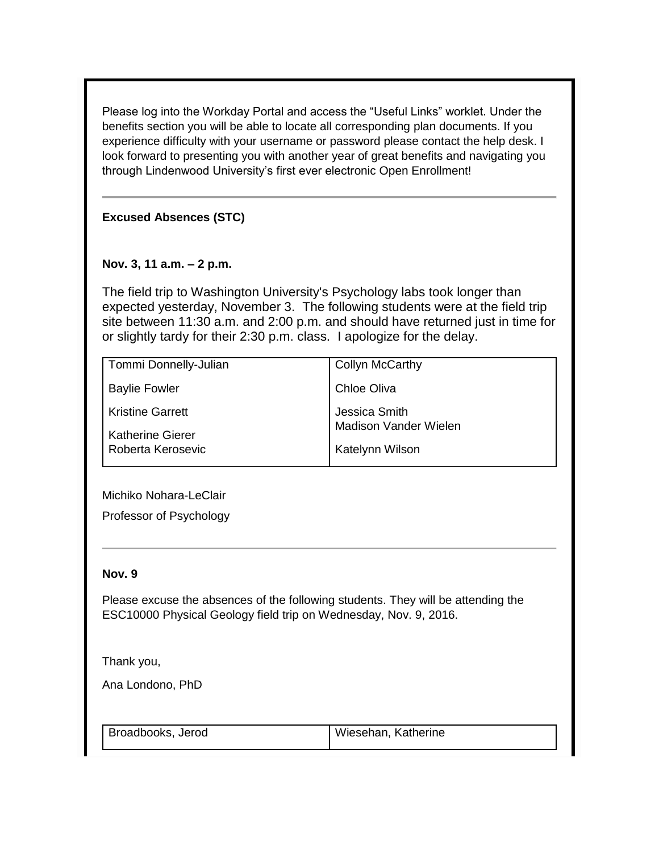Please log into the Workday Portal and access the "Useful Links" worklet. Under the benefits section you will be able to locate all corresponding plan documents. If you experience difficulty with your username or password please contact the help desk. I look forward to presenting you with another year of great benefits and navigating you through Lindenwood University's first ever electronic Open Enrollment!

**Excused Absences (STC)**

### **Nov. 3, 11 a.m. – 2 p.m.**

The field trip to Washington University's Psychology labs took longer than expected yesterday, November 3. The following students were at the field trip site between 11:30 a.m. and 2:00 p.m. and should have returned just in time for or slightly tardy for their 2:30 p.m. class. I apologize for the delay.

| Tommi Donnelly-Julian   | <b>Collyn McCarthy</b> |
|-------------------------|------------------------|
| <b>Baylie Fowler</b>    | Chloe Oliva            |
| <b>Kristine Garrett</b> | Jessica Smith          |
| <b>Katherine Gierer</b> | Madison Vander Wielen  |
| Roberta Kerosevic       | Katelynn Wilson        |

Michiko Nohara-LeClair

Professor of Psychology

#### **Nov. 9**

Please excuse the absences of the following students. They will be attending the ESC10000 Physical Geology field trip on Wednesday, Nov. 9, 2016.

Thank you,

Ana Londono, PhD

Broadbooks, Jerod Wiesehan, Katherine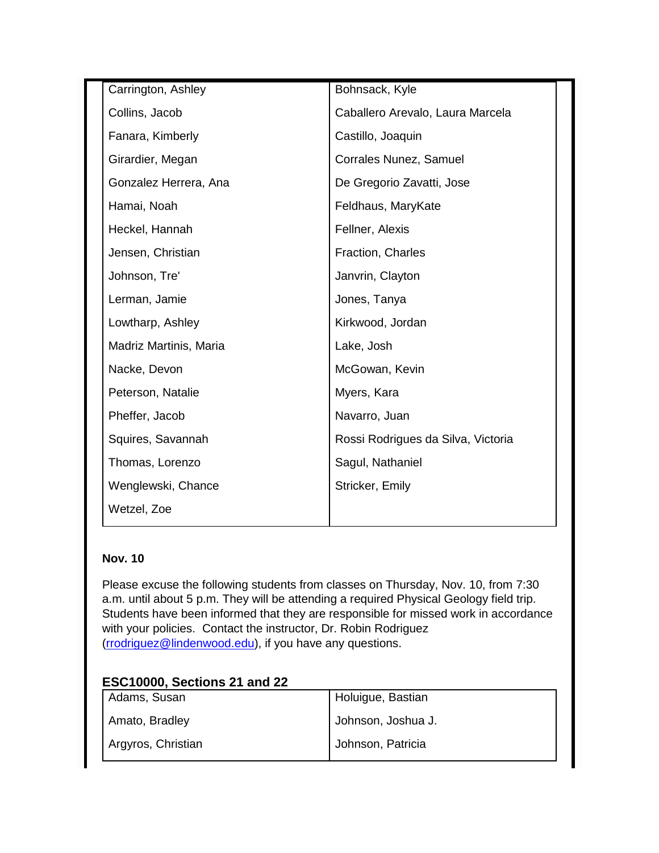| Carrington, Ashley     | Bohnsack, Kyle                     |  |
|------------------------|------------------------------------|--|
| Collins, Jacob         | Caballero Arevalo, Laura Marcela   |  |
| Fanara, Kimberly       | Castillo, Joaquin                  |  |
| Girardier, Megan       | Corrales Nunez, Samuel             |  |
| Gonzalez Herrera, Ana  | De Gregorio Zavatti, Jose          |  |
| Hamai, Noah            | Feldhaus, MaryKate                 |  |
| Heckel, Hannah         | Fellner, Alexis                    |  |
| Jensen, Christian      | Fraction, Charles                  |  |
| Johnson, Tre'          | Janvrin, Clayton                   |  |
| Lerman, Jamie          | Jones, Tanya                       |  |
| Lowtharp, Ashley       | Kirkwood, Jordan                   |  |
| Madriz Martinis, Maria | Lake, Josh                         |  |
| Nacke, Devon           | McGowan, Kevin                     |  |
| Peterson, Natalie      | Myers, Kara                        |  |
| Pheffer, Jacob         | Navarro, Juan                      |  |
| Squires, Savannah      | Rossi Rodrigues da Silva, Victoria |  |
| Thomas, Lorenzo        | Sagul, Nathaniel                   |  |
| Wenglewski, Chance     | Stricker, Emily                    |  |
| Wetzel, Zoe            |                                    |  |
|                        |                                    |  |

## **Nov. 10**

Please excuse the following students from classes on Thursday, Nov. 10, from 7:30 a.m. until about 5 p.m. They will be attending a required Physical Geology field trip. Students have been informed that they are responsible for missed work in accordance with your policies. Contact the instructor, Dr. Robin Rodriguez [\(rrodriguez@lindenwood.edu\)](mailto:rrodriguez@lindenwood.edu), if you have any questions.

## **ESC10000, Sections 21 and 22**

| Adams, Susan       | Holuigue, Bastian  |
|--------------------|--------------------|
| Amato, Bradley     | Johnson, Joshua J. |
| Argyros, Christian | Johnson, Patricia  |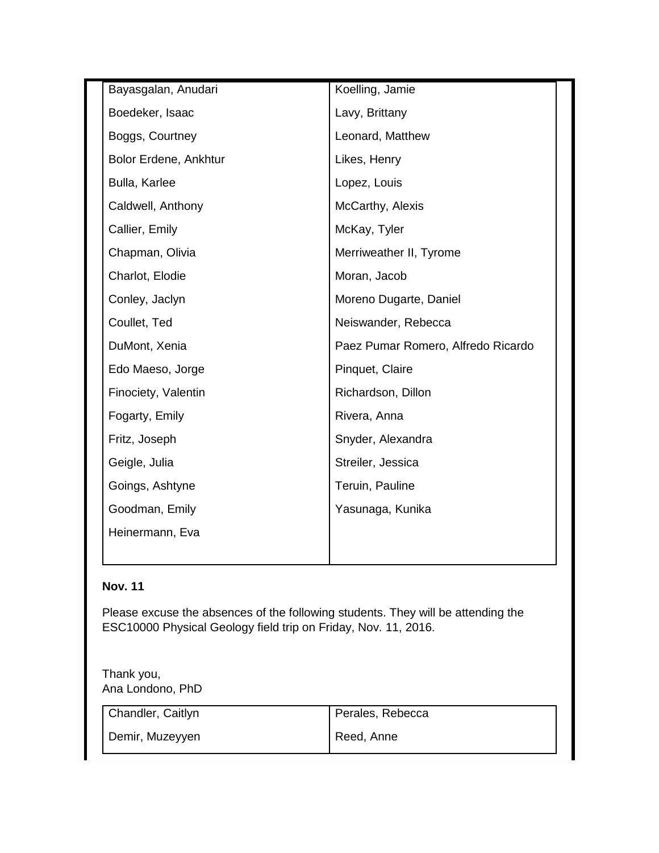| Bayasgalan, Anudari   | Koelling, Jamie                    |  |
|-----------------------|------------------------------------|--|
| Boedeker, Isaac       | Lavy, Brittany                     |  |
| Boggs, Courtney       | Leonard, Matthew                   |  |
| Bolor Erdene, Ankhtur | Likes, Henry                       |  |
| Bulla, Karlee         | Lopez, Louis                       |  |
| Caldwell, Anthony     | McCarthy, Alexis                   |  |
| Callier, Emily        | McKay, Tyler                       |  |
| Chapman, Olivia       | Merriweather II, Tyrome            |  |
| Charlot, Elodie       | Moran, Jacob                       |  |
| Conley, Jaclyn        | Moreno Dugarte, Daniel             |  |
| Coullet, Ted          | Neiswander, Rebecca                |  |
| DuMont, Xenia         | Paez Pumar Romero, Alfredo Ricardo |  |
| Edo Maeso, Jorge      | Pinquet, Claire                    |  |
| Finociety, Valentin   | Richardson, Dillon                 |  |
| Fogarty, Emily        | Rivera, Anna                       |  |
| Fritz, Joseph         | Snyder, Alexandra                  |  |
| Geigle, Julia         | Streiler, Jessica                  |  |
| Goings, Ashtyne       | Teruin, Pauline                    |  |
| Goodman, Emily        | Yasunaga, Kunika                   |  |
| Heinermann, Eva       |                                    |  |
|                       |                                    |  |

## **Nov. 11**

Please excuse the absences of the following students. They will be attending the ESC10000 Physical Geology field trip on Friday, Nov. 11, 2016.

| Thank you,       |  |
|------------------|--|
| Ana Londono, PhD |  |

| Chandler, Caitlyn |  |
|-------------------|--|
|                   |  |
|                   |  |
|                   |  |

Perales, Rebecca

Demir, Muzeyyen

Reed, Anne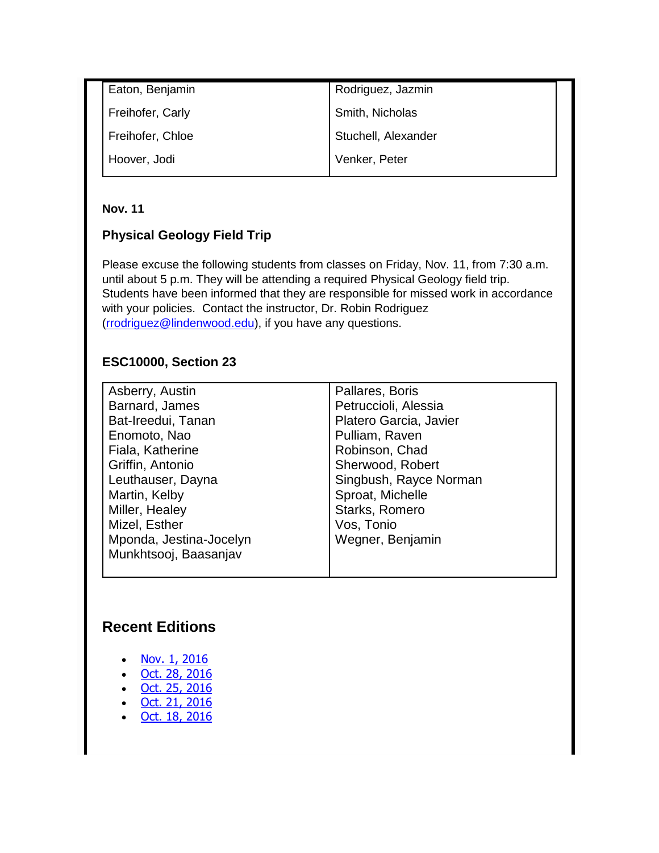| Eaton, Benjamin  | Rodriguez, Jazmin   |  |
|------------------|---------------------|--|
| Freihofer, Carly | Smith, Nicholas     |  |
| Freihofer, Chloe | Stuchell, Alexander |  |
| Hoover, Jodi     | Venker, Peter       |  |

### **Nov. 11**

## **Physical Geology Field Trip**

Please excuse the following students from classes on Friday, Nov. 11, from 7:30 a.m. until about 5 p.m. They will be attending a required Physical Geology field trip. Students have been informed that they are responsible for missed work in accordance with your policies. Contact the instructor, Dr. Robin Rodriguez [\(rrodriguez@lindenwood.edu\)](mailto:rrodriguez@lindenwood.edu), if you have any questions.

## **ESC10000, Section 23**

| Asberry, Austin         | Pallares, Boris        |
|-------------------------|------------------------|
| Barnard, James          | Petruccioli, Alessia   |
| Bat-Ireedui, Tanan      | Platero Garcia, Javier |
| Enomoto, Nao            | Pulliam, Raven         |
| Fiala, Katherine        | Robinson, Chad         |
| Griffin, Antonio        | Sherwood, Robert       |
| Leuthauser, Dayna       | Singbush, Rayce Norman |
| Martin, Kelby           | Sproat, Michelle       |
| Miller, Healey          | Starks, Romero         |
| Mizel, Esther           | Vos, Tonio             |
| Mponda, Jestina-Jocelyn | Wegner, Benjamin       |
| Munkhtsooj, Baasanjav   |                        |
|                         |                        |

# **Recent Editions**

- [Nov. 1, 2016](http://felix.lindenwood.edu/newsletter/digest/digest2016_11_01.pdf)
- [Oct. 28, 2016](http://felix.lindenwood.edu/newsletter/digest/digest2016_10_28.pdf)
- [Oct. 25, 2016](http://felix.lindenwood.edu/newsletter/digest/digest2016_10_25.pdf)
- [Oct. 21, 2016](http://felix.lindenwood.edu/newsletter/digest/digest2016_10_21.pdf)
- [Oct. 18, 2016](http://felix.lindenwood.edu/newsletter/digest/digest2016_10_18.pdf)